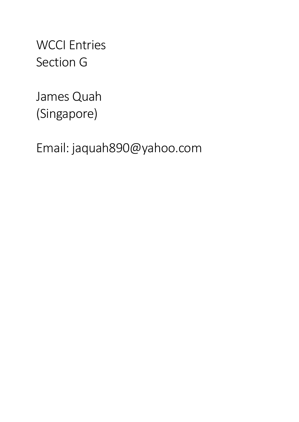WCCI Entries Section G

James Quah (Singapore)

Email: jaquah890@yahoo.com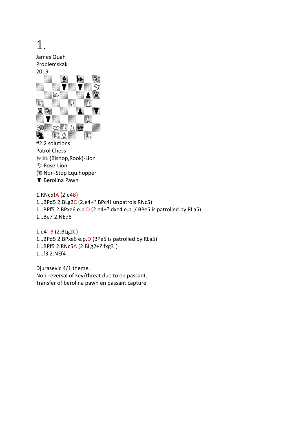## 1.

James Quah Problemskak 2019



Patrol Chess **》**  $[$  (Bishop, Rook)-Lion  $\mathfrak{S}$  Rose-Lion **I** Non-Stop Equihopper **Y** Berolina Pawn

1.RNc5!A (2.e4B) 1…BPd5 2.BLg2C (2.e4+? BPc4! unpatrols RNc5) 1…BPf5 2.BPxe6 e.p.D (2.e4+? dxe4 e.p. / BPe5 is patrolled by RLa5) 1…Be7 2.NEd8

1.e4! B (2.BLg2C) 1…BPd5 2.BPxe6 e.p.D (BPe5 is patrolled by RLa5) 1…BPf5 2.RNc5A (2.BLg2+? fxg3!) 1…f3 2.NEf4

Djurasevic 4/1 theme. Non-reversal of key/threat due to en passant. Transfer of berolina pawn en passant capture.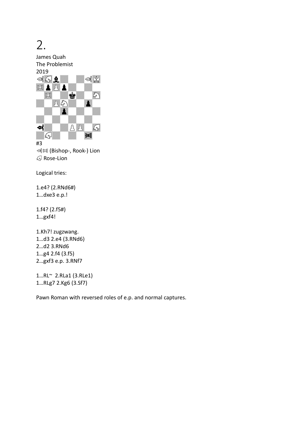

Rose-Lion

Logical tries:

1.e4? (2.RNd6#) 1…dxe3 e.p.!

1.f4? (2.f5#) 1…gxf4!

1.Kh7! zugzwang. 1…d3 2.e4 (3.RNd6) 2…d2 3.RNd6 1…g4 2.f4 (3.f5) 2…gxf3 e.p. 3.RNf7

1…RL~ 2.RLa1 (3.RLe1) 1…RLg7 2.Kg6 (3.Sf7)

Pawn Roman with reversed roles of e.p. and normal captures.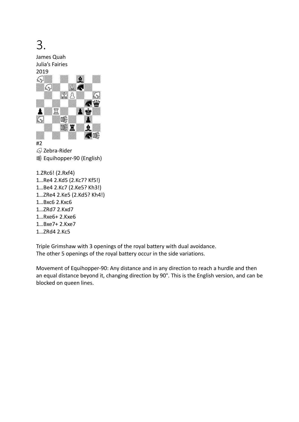

1…Rxe6+ 2.Kxe6

1…Bxe7+ 2.Kxe7

1…ZRd4 2.Kc5

Triple Grimshaw with 3 openings of the royal battery with dual avoidance. The other 5 openings of the royal battery occur in the side variations.

Movement of Equihopper-90: Any distance and in any direction to reach a hurdle and then an equal distance beyond it, changing direction by 90°. This is the English version, and can be blocked on queen lines.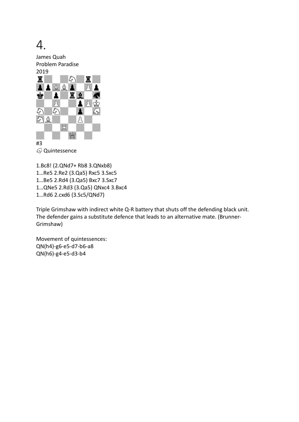

R Quintessence

1.Bc8! (2.QNd7+ Rb8 3.QNxb8) 1…Re5 2.Re2 (3.Qa5) Rxc5 3.Sxc5 1…Be5 2.Rd4 (3.Qa5) Bxc7 3.Sxc7 1…QNe5 2.Rd3 (3.Qa5) QNxc4 3.Bxc4 1…Rd6 2.cxd6 (3.Sc5/QNd7)

Triple Grimshaw with indirect white Q-R battery that shuts off the defending black unit. The defender gains a substitute defence that leads to an alternative mate. (Brunner-Grimshaw)

Movement of quintessences: QN(h4)-g6-e5-d7-b6-a8 QN(h6)-g4-e5-d3-b4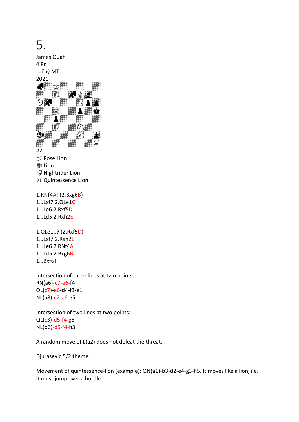## 5.

James Quah 4 Pr Lačný MT



#2 ↑ Rose Lion **③** Lion *<u></u>* Nightrider Lion  $\mathbb M$  Quintessence Lion

1.RNf4A! (2.Bxg6B) 1…Lxf7 2.QLe1C 1…Le6 2.Rxf5D 1…Ld5 2.Rxh2E

1.QLe1C? (2.Rxf5D) 1…Lxf7 2.Rxh2E 1…Le6 2.RNf4A 1…Ld5 2.Bxg6B 1…Bxf6!

Intersection of three lines at two points: RN(a6)-c7-e6-f4 QL(c7)-e6-d4-f3-e1 NL(a8)-c7-e6-g5

Intersection of two lines at two points: QL(c3)-d5-f4-g6 NL(b6)-d5-f4-h3

A random move of L(a2) does not defeat the threat.

Djurasevic 5/2 theme.

Movement of quintessence-lion (example): QN(a1)-b3-d2-e4-g3-h5. It moves like a lion, i.e. it must jump over a hurdle.